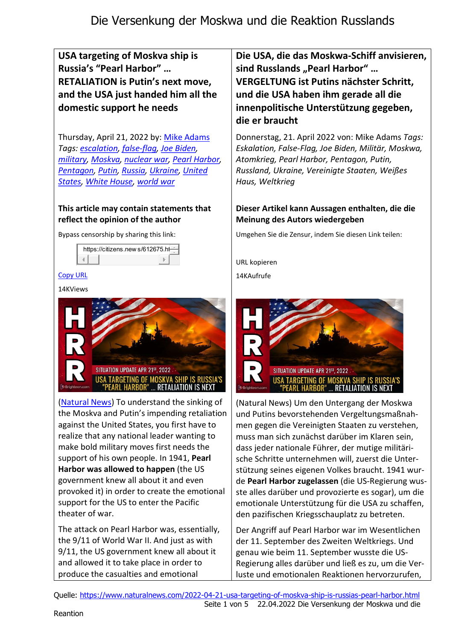USA targeting of Moskva ship is Russia's "Pearl Harbor" … RETALIATION is Putin's next move, and the USA just handed him all the domestic support he needs

Thursday, April 21, 2022 by: Mike Adams Tags: escalation, false-flag, Joe Biden, military, Moskva, nuclear war, Pearl Harbor, Pentagon, Putin, Russia, Ukraine, United States, White House, world war

### This article may contain statements that reflect the opinion of the author

Bypass censorship by sharing this link:



#### Copy URL

14KViews



(Natural News) To understand the sinking of the Moskva and Putin's impending retaliation against the United States, you first have to realize that any national leader wanting to make bold military moves first needs the support of his own people. In 1941, Pearl Harbor was allowed to happen (the US government knew all about it and even provoked it) in order to create the emotional support for the US to enter the Pacific theater of war.

The attack on Pearl Harbor was, essentially, the 9/11 of World War II. And just as with 9/11, the US government knew all about it and allowed it to take place in order to produce the casualties and emotional

Die USA, die das Moskwa-Schiff anvisieren, sind Russlands "Pearl Harbor" ... VERGELTUNG ist Putins nächster Schritt, und die USA haben ihm gerade all die innenpolitische Unterstützung gegeben, die er braucht

Donnerstag, 21. April 2022 von: Mike Adams Tags: Eskalation, False-Flag, Joe Biden, Militär, Moskwa, Atomkrieg, Pearl Harbor, Pentagon, Putin, Russland, Ukraine, Vereinigte Staaten, Weißes Haus, Weltkrieg

## Dieser Artikel kann Aussagen enthalten, die die Meinung des Autors wiedergeben

Umgehen Sie die Zensur, indem Sie diesen Link teilen:

URL kopieren

14KAufrufe



(Natural News) Um den Untergang der Moskwa und Putins bevorstehenden Vergeltungsmaßnahmen gegen die Vereinigten Staaten zu verstehen, muss man sich zunächst darüber im Klaren sein, dass jeder nationale Führer, der mutige militärische Schritte unternehmen will, zuerst die Unterstützung seines eigenen Volkes braucht. 1941 wurde Pearl Harbor zugelassen (die US-Regierung wusste alles darüber und provozierte es sogar), um die emotionale Unterstützung für die USA zu schaffen, den pazifischen Kriegsschauplatz zu betreten.

Der Angriff auf Pearl Harbor war im Wesentlichen der 11. September des Zweiten Weltkriegs. Und genau wie beim 11. September wusste die US-Regierung alles darüber und ließ es zu, um die Verluste und emotionalen Reaktionen hervorzurufen,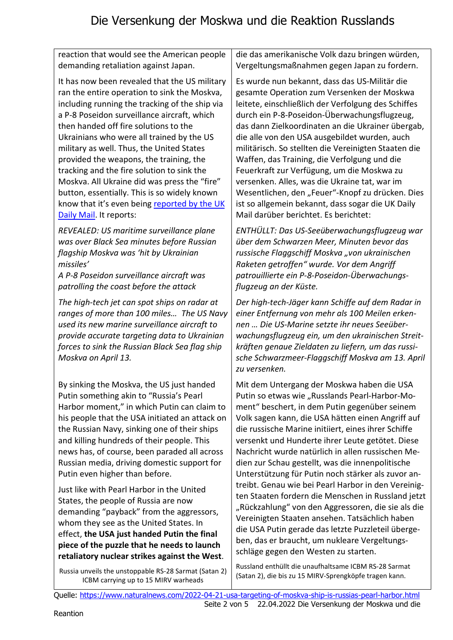reaction that would see the American people demanding retaliation against Japan.

It has now been revealed that the US military ran the entire operation to sink the Moskva, including running the tracking of the ship via a P-8 Poseidon surveillance aircraft, which then handed off fire solutions to the Ukrainians who were all trained by the US military as well. Thus, the United States provided the weapons, the training, the tracking and the fire solution to sink the Moskva. All Ukraine did was press the "fire" button, essentially. This is so widely known know that it's even being reported by the UK Daily Mail. It reports:

REVEALED: US maritime surveillance plane was over Black Sea minutes before Russian flagship Moskva was 'hit by Ukrainian missiles'

A P-8 Poseidon surveillance aircraft was patrolling the coast before the attack

The high-tech jet can spot ships on radar at ranges of more than 100 miles… The US Navy used its new marine surveillance aircraft to provide accurate targeting data to Ukrainian forces to sink the Russian Black Sea flag ship Moskva on April 13.

By sinking the Moskva, the US just handed Putin something akin to "Russia's Pearl Harbor moment," in which Putin can claim to his people that the USA initiated an attack on the Russian Navy, sinking one of their ships and killing hundreds of their people. This news has, of course, been paraded all across Russian media, driving domestic support for Putin even higher than before.

Just like with Pearl Harbor in the United States, the people of Russia are now demanding "payback" from the aggressors, whom they see as the United States. In effect, the USA just handed Putin the final piece of the puzzle that he needs to launch retaliatory nuclear strikes against the West.

Russia unveils the unstoppable RS-28 Sarmat (Satan 2) ICBM carrying up to 15 MIRV warheads

die das amerikanische Volk dazu bringen würden, Vergeltungsmaßnahmen gegen Japan zu fordern.

Es wurde nun bekannt, dass das US-Militär die gesamte Operation zum Versenken der Moskwa leitete, einschließlich der Verfolgung des Schiffes durch ein P-8-Poseidon-Überwachungsflugzeug, das dann Zielkoordinaten an die Ukrainer übergab, die alle von den USA ausgebildet wurden, auch militärisch. So stellten die Vereinigten Staaten die Waffen, das Training, die Verfolgung und die Feuerkraft zur Verfügung, um die Moskwa zu versenken. Alles, was die Ukraine tat, war im Wesentlichen, den "Feuer"-Knopf zu drücken. Dies ist so allgemein bekannt, dass sogar die UK Daily Mail darüber berichtet. Es berichtet:

ENTHÜLLT: Das US-Seeüberwachungsflugzeug war über dem Schwarzen Meer, Minuten bevor das russische Flaggschiff Moskva "von ukrainischen Raketen getroffen" wurde. Vor dem Angriff patrouillierte ein P-8-Poseidon-Überwachungsflugzeug an der Küste.

Der high-tech-Jäger kann Schiffe auf dem Radar in einer Entfernung von mehr als 100 Meilen erkennen … Die US-Marine setzte ihr neues Seeüberwachungsflugzeug ein, um den ukrainischen Streitkräften genaue Zieldaten zu liefern, um das russische Schwarzmeer-Flaggschiff Moskva am 13. April zu versenken.

Mit dem Untergang der Moskwa haben die USA Putin so etwas wie "Russlands Pearl-Harbor-Moment" beschert, in dem Putin gegenüber seinem Volk sagen kann, die USA hätten einen Angriff auf die russische Marine initiiert, eines ihrer Schiffe versenkt und Hunderte ihrer Leute getötet. Diese Nachricht wurde natürlich in allen russischen Medien zur Schau gestellt, was die innenpolitische Unterstützung für Putin noch stärker als zuvor antreibt. Genau wie bei Pearl Harbor in den Vereinigten Staaten fordern die Menschen in Russland jetzt "Rückzahlung" von den Aggressoren, die sie als die Vereinigten Staaten ansehen. Tatsächlich haben die USA Putin gerade das letzte Puzzleteil übergeben, das er braucht, um nukleare Vergeltungsschläge gegen den Westen zu starten.

Russland enthüllt die unaufhaltsame ICBM RS-28 Sarmat (Satan 2), die bis zu 15 MIRV-Sprengköpfe tragen kann.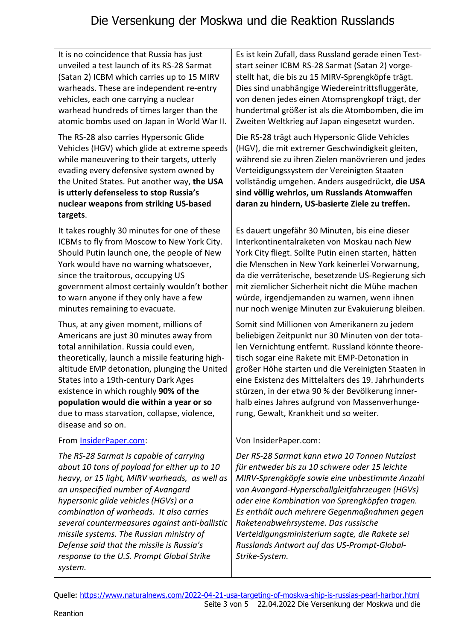# Die Versenkung der Moskwa und die Reaktion Russlands

It is no coincidence that Russia has just unveiled a test launch of its RS-28 Sarmat (Satan 2) ICBM which carries up to 15 MIRV warheads. These are independent re-entry vehicles, each one carrying a nuclear warhead hundreds of times larger than the atomic bombs used on Japan in World War II.

The RS-28 also carries Hypersonic Glide Vehicles (HGV) which glide at extreme speeds while maneuvering to their targets, utterly evading every defensive system owned by the United States. Put another way, the USA is utterly defenseless to stop Russia's nuclear weapons from striking US-based targets.

It takes roughly 30 minutes for one of these ICBMs to fly from Moscow to New York City. Should Putin launch one, the people of New York would have no warning whatsoever, since the traitorous, occupying US government almost certainly wouldn't bother to warn anyone if they only have a few minutes remaining to evacuate.

Thus, at any given moment, millions of Americans are just 30 minutes away from total annihilation. Russia could even, theoretically, launch a missile featuring highaltitude EMP detonation, plunging the United States into a 19th-century Dark Ages existence in which roughly 90% of the population would die within a year or so due to mass starvation, collapse, violence, disease and so on.

#### From InsiderPaper.com:

The RS-28 Sarmat is capable of carrying about 10 tons of payload for either up to 10 heavy, or 15 light, MIRV warheads, as well as an unspecified number of Avangard hypersonic glide vehicles (HGVs) or a combination of warheads. It also carries several countermeasures against anti-ballistic missile systems. The Russian ministry of Defense said that the missile is Russia's response to the U.S. Prompt Global Strike system.

Es ist kein Zufall, dass Russland gerade einen Teststart seiner ICBM RS-28 Sarmat (Satan 2) vorgestellt hat, die bis zu 15 MIRV-Sprengköpfe trägt. Dies sind unabhängige Wiedereintrittsfluggeräte, von denen jedes einen Atomsprengkopf trägt, der hundertmal größer ist als die Atombomben, die im Zweiten Weltkrieg auf Japan eingesetzt wurden.

Die RS-28 trägt auch Hypersonic Glide Vehicles (HGV), die mit extremer Geschwindigkeit gleiten, während sie zu ihren Zielen manövrieren und jedes Verteidigungssystem der Vereinigten Staaten vollständig umgehen. Anders ausgedrückt, die USA sind völlig wehrlos, um Russlands Atomwaffen daran zu hindern, US-basierte Ziele zu treffen.

Es dauert ungefähr 30 Minuten, bis eine dieser Interkontinentalraketen von Moskau nach New York City fliegt. Sollte Putin einen starten, hätten die Menschen in New York keinerlei Vorwarnung, da die verräterische, besetzende US-Regierung sich mit ziemlicher Sicherheit nicht die Mühe machen würde, irgendjemanden zu warnen, wenn ihnen nur noch wenige Minuten zur Evakuierung bleiben.

Somit sind Millionen von Amerikanern zu jedem beliebigen Zeitpunkt nur 30 Minuten von der totalen Vernichtung entfernt. Russland könnte theoretisch sogar eine Rakete mit EMP-Detonation in großer Höhe starten und die Vereinigten Staaten in eine Existenz des Mittelalters des 19. Jahrhunderts stürzen, in der etwa 90 % der Bevölkerung innerhalb eines Jahres aufgrund von Massenverhungerung, Gewalt, Krankheit und so weiter.

## Von InsiderPaper.com:

Der RS-28 Sarmat kann etwa 10 Tonnen Nutzlast für entweder bis zu 10 schwere oder 15 leichte MIRV-Sprengköpfe sowie eine unbestimmte Anzahl von Avangard-Hyperschallgleitfahrzeugen (HGVs) oder eine Kombination von Sprengköpfen tragen. Es enthält auch mehrere Gegenmaßnahmen gegen Raketenabwehrsysteme. Das russische Verteidigungsministerium sagte, die Rakete sei Russlands Antwort auf das US-Prompt-Global-Strike-System.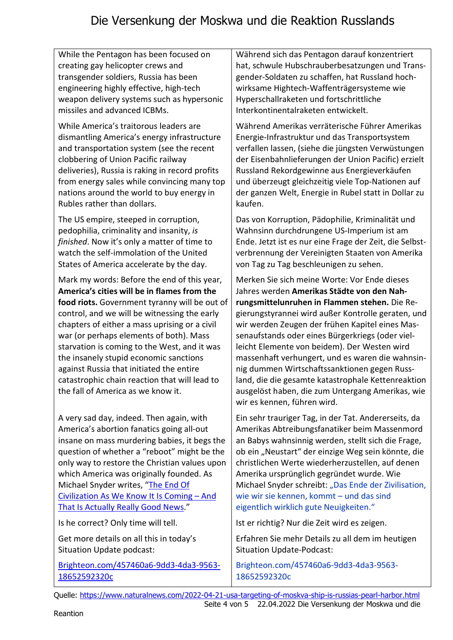# Die Versenkung der Moskwa und die Reaktion Russlands

While the Pentagon has been focused on creating gay helicopter crews and transgender soldiers, Russia has been engineering highly effective, high-tech weapon delivery systems such as hypersonic missiles and advanced ICBMs.

While America's traitorous leaders are dismantling America's energy infrastructure and transportation system (see the recent clobbering of Union Pacific railway deliveries), Russia is raking in record profits from energy sales while convincing many top nations around the world to buy energy in Rubles rather than dollars.

The US empire, steeped in corruption, pedophilia, criminality and insanity, is finished. Now it's only a matter of time to watch the self-immolation of the United States of America accelerate by the day.

Mark my words: Before the end of this year, America's cities will be in flames from the food riots. Government tyranny will be out of control, and we will be witnessing the early chapters of either a mass uprising or a civil war (or perhaps elements of both). Mass starvation is coming to the West, and it was the insanely stupid economic sanctions against Russia that initiated the entire catastrophic chain reaction that will lead to the fall of America as we know it.

A very sad day, indeed. Then again, with America's abortion fanatics going all-out insane on mass murdering babies, it begs the question of whether a "reboot" might be the only way to restore the Christian values upon which America was originally founded. As Michael Snyder writes, "The End Of Civilization As We Know It Is Coming – And That Is Actually Really Good News."

Is he correct? Only time will tell.

Get more details on all this in today's Situation Update podcast:

Brighteon.com/457460a6-9dd3-4da3-9563- 18652592320c

Während sich das Pentagon darauf konzentriert hat, schwule Hubschrauberbesatzungen und Transgender-Soldaten zu schaffen, hat Russland hochwirksame Hightech-Waffenträgersysteme wie Hyperschallraketen und fortschrittliche Interkontinentalraketen entwickelt.

Während Amerikas verräterische Führer Amerikas Energie-Infrastruktur und das Transportsystem verfallen lassen, (siehe die jüngsten Verwüstungen der Eisenbahnlieferungen der Union Pacific) erzielt Russland Rekordgewinne aus Energieverkäufen und überzeugt gleichzeitig viele Top-Nationen auf der ganzen Welt, Energie in Rubel statt in Dollar zu kaufen.

Das von Korruption, Pädophilie, Kriminalität und Wahnsinn durchdrungene US-Imperium ist am Ende. Jetzt ist es nur eine Frage der Zeit, die Selbstverbrennung der Vereinigten Staaten von Amerika von Tag zu Tag beschleunigen zu sehen.

Merken Sie sich meine Worte: Vor Ende dieses Jahres werden Amerikas Städte von den Nahrungsmittelunruhen in Flammen stehen. Die Regierungstyrannei wird außer Kontrolle geraten, und wir werden Zeugen der frühen Kapitel eines Massenaufstands oder eines Bürgerkriegs (oder vielleicht Elemente von beidem). Der Westen wird massenhaft verhungert, und es waren die wahnsinnig dummen Wirtschaftssanktionen gegen Russland, die die gesamte katastrophale Kettenreaktion ausgelöst haben, die zum Untergang Amerikas, wie wir es kennen, führen wird.

Ein sehr trauriger Tag, in der Tat. Andererseits, da Amerikas Abtreibungsfanatiker beim Massenmord an Babys wahnsinnig werden, stellt sich die Frage, ob ein "Neustart" der einzige Weg sein könnte, die christlichen Werte wiederherzustellen, auf denen Amerika ursprünglich gegründet wurde. Wie Michael Snyder schreibt: "Das Ende der Zivilisation, wie wir sie kennen, kommt – und das sind eigentlich wirklich gute Neuigkeiten."

Ist er richtig? Nur die Zeit wird es zeigen.

Erfahren Sie mehr Details zu all dem im heutigen Situation Update-Podcast:

Brighteon.com/457460a6-9dd3-4da3-9563- 18652592320c

Quelle: https://www.naturalnews.com/2022-04-21-usa-targeting-of-moskva-ship-is-russias-pearl-harbor.html Seite 4 von 5 22.04.2022 Die Versenkung der Moskwa und die